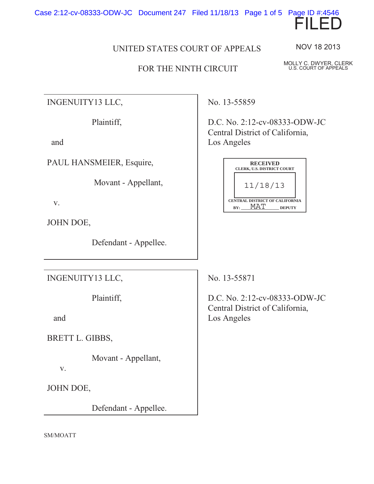Case 2:12-cv-08333-ODW-JC Document 247 Filed 11/18/13 Page 1 of 5 Page ID #:4546



## UNITED STATES COURT OF APPEALS

## FOR THE NINTH CIRCUIT

NOV 18 2013

MOLLY C. DWYER, CLERK U.S. COURT OF APPEALS

INGENUITY13 LLC,

Plaintiff,

and

PAUL HANSMEIER, Esquire,

Movant - Appellant,

v.

JOHN DOE,

Defendant - Appellee.

INGENUITY13 LLC,

Plaintiff,

and

BRETT L. GIBBS,

Movant - Appellant,

v.

JOHN DOE,

Defendant - Appellee.

No. 13-55859

D.C. No. 2:12-cv-08333-ODW-JC Central District of California, Los Angeles

|                                                               | <b>RECEIVED</b><br><b>CLERK, U.S. DISTRICT COURT</b> |  |  |
|---------------------------------------------------------------|------------------------------------------------------|--|--|
|                                                               | 11/18/13                                             |  |  |
| <b>CENTRAL DISTRICT OF CALIFORNIA</b><br>BY:<br><b>DEPUTY</b> |                                                      |  |  |

No. 13-55871

D.C. No. 2:12-cv-08333-ODW-JC Central District of California, Los Angeles

SM/MOATT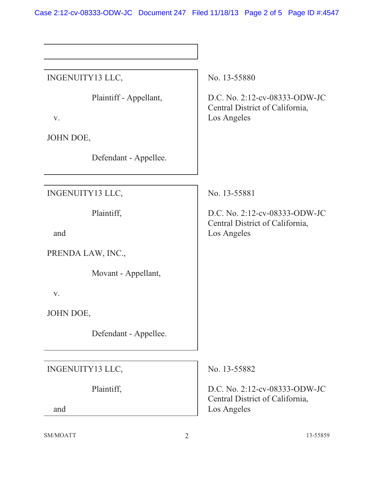Case 2:12-cv-08333-ODW-JC Document 247 Filed 11/18/13 Page 2 of 5 Page ID #:4547

| INGENUITY13 LLC,             |                | No. 13-55880                                                                    |
|------------------------------|----------------|---------------------------------------------------------------------------------|
| Plaintiff - Appellant,<br>V. |                | D.C. No. 2:12-cv-08333-ODW-JC<br>Central District of California,<br>Los Angeles |
| JOHN DOE,                    |                |                                                                                 |
| Defendant - Appellee.        |                |                                                                                 |
|                              |                |                                                                                 |
| INGENUITY13 LLC,             |                | No. 13-55881                                                                    |
| Plaintiff,<br>and            |                | D.C. No. 2:12-cv-08333-ODW-JC<br>Central District of California,<br>Los Angeles |
|                              |                |                                                                                 |
| PRENDA LAW, INC.,            |                |                                                                                 |
| Movant - Appellant,          |                |                                                                                 |
| V.                           |                |                                                                                 |
| JOHN DOE,                    |                |                                                                                 |
| Defendant - Appellee.        |                |                                                                                 |
|                              |                |                                                                                 |
| INGENUITY13 LLC,             |                | No. 13-55882                                                                    |
| Plaintiff,                   |                | D.C. No. 2:12-cv-08333-ODW-JC<br>Central District of California,                |
| and                          |                | Los Angeles                                                                     |
| SM/MOATT                     | $\overline{2}$ | 13-55859                                                                        |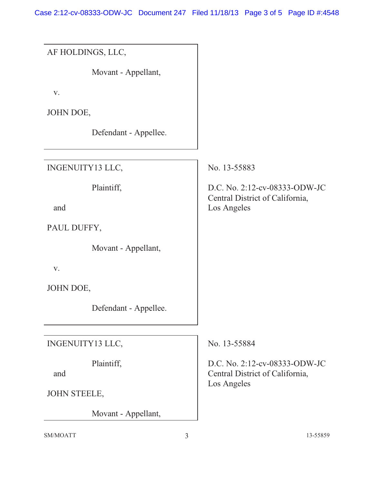Case 2:12-cv-08333-ODW-JC Document 247 Filed 11/18/13 Page 3 of 5 Page ID #:4548

| AF HOLDINGS, LLC,     |                                                                  |
|-----------------------|------------------------------------------------------------------|
| Movant - Appellant,   |                                                                  |
| V.                    |                                                                  |
| JOHN DOE,             |                                                                  |
| Defendant - Appellee. |                                                                  |
| INGENUITY13 LLC,      | No. 13-55883                                                     |
| Plaintiff,            | D.C. No. 2:12-cv-08333-ODW-JC<br>Central District of California, |
| and                   | Los Angeles                                                      |
| PAUL DUFFY,           |                                                                  |
| Movant - Appellant,   |                                                                  |
| V.                    |                                                                  |
| JOHN DOE,             |                                                                  |
| Defendant - Appellee. |                                                                  |
| INGENUITY13 LLC,      | No. 13-55884                                                     |
| Plaintiff,<br>and     | D.C. No. 2:12-cv-08333-ODW-JC<br>Central District of California, |
| <b>JOHN STEELE,</b>   | Los Angeles                                                      |
| Movant - Appellant,   |                                                                  |
| SM/MOATT              | 3<br>13-55859                                                    |
|                       |                                                                  |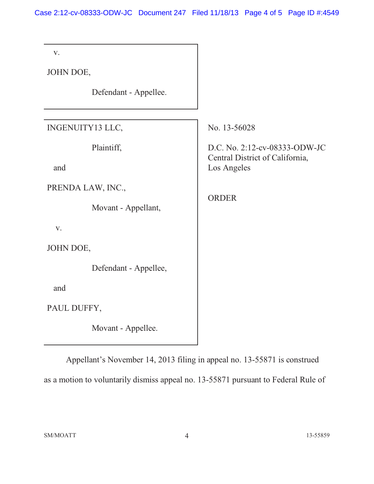Case 2:12-cv-08333-ODW-JC Document 247 Filed 11/18/13 Page 4 of 5 Page ID #:4549

| V.                    |                                                                  |  |
|-----------------------|------------------------------------------------------------------|--|
| JOHN DOE,             |                                                                  |  |
| Defendant - Appellee. |                                                                  |  |
| INGENUITY13 LLC,      | No. 13-56028                                                     |  |
| Plaintiff,            | D.C. No. 2:12-cv-08333-ODW-JC<br>Central District of California, |  |
| and                   | Los Angeles                                                      |  |
| PRENDA LAW, INC.,     |                                                                  |  |
| Movant - Appellant,   | <b>ORDER</b>                                                     |  |
| V.                    |                                                                  |  |
| JOHN DOE,             |                                                                  |  |
| Defendant - Appellee, |                                                                  |  |
| and                   |                                                                  |  |
| PAUL DUFFY,           |                                                                  |  |
| Movant - Appellee.    |                                                                  |  |

Appellant's November 14, 2013 filing in appeal no. 13-55871 is construed as a motion to voluntarily dismiss appeal no. 13-55871 pursuant to Federal Rule of